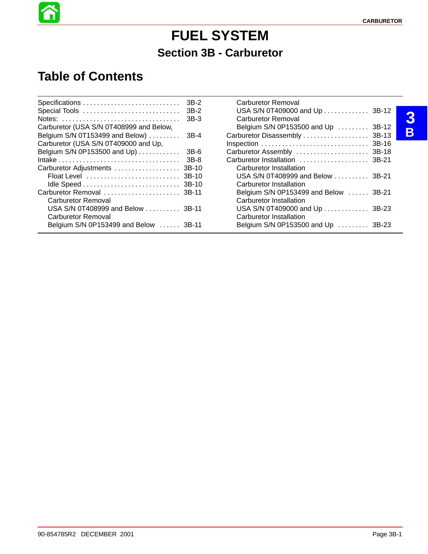# **FUEL SYSTEM Section 3B - Carburetor**

### **Table of Contents**

Â

| Special Tools                                                 | 3B-2<br>$3B-2$<br>$3B-3$ | Carburetor Removal<br>USA S/N 0T409000 and Up  3B-12<br><b>Carburetor Removal</b> |       |
|---------------------------------------------------------------|--------------------------|-----------------------------------------------------------------------------------|-------|
| Carburetor (USA S/N 0T408999 and Below,                       |                          | Belgium S/N 0P153500 and Up  3B-12                                                |       |
| Belgium S/N 0T153499 and Below) $\ldots$                      | $3B-4$                   |                                                                                   | 3B-13 |
| Carburetor (USA S/N 0T409000 and Up,                          |                          |                                                                                   |       |
| Belgium S/N 0P153500 and Up)                                  | 3B-6                     | Carburetor Assembly  3B-18                                                        |       |
|                                                               | 3B-8                     | Carburetor Installation  3B-21                                                    |       |
|                                                               |                          | Carburetor Installation                                                           |       |
|                                                               |                          | USA S/N 0T408999 and Below  3B-21                                                 |       |
|                                                               |                          | Carburetor Installation                                                           |       |
| Carburetor Removal  3B-11                                     |                          | Belgium S/N 0P153499 and Below  3B-21                                             |       |
| Carburetor Removal                                            |                          | Carburetor Installation                                                           |       |
| USA S/N 0T408999 and Below 3B-11<br><b>Carburetor Removal</b> |                          | USA S/N 0T409000 and Up  3B-23<br>Carburetor Installation                         |       |
| Belgium S/N 0P153499 and Below  3B-11                         |                          | Belgium S/N 0P153500 and Up $\dots \dots$ 3B-23                                   |       |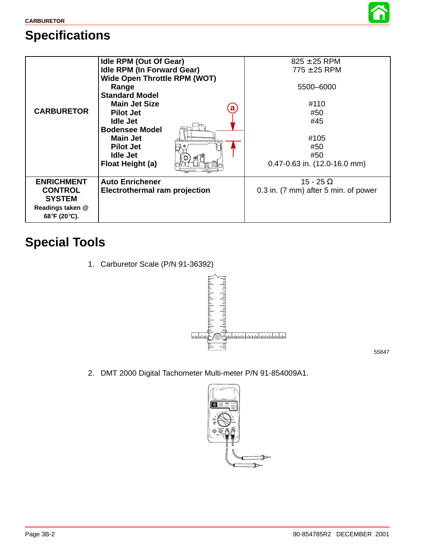

# **Specifications**

| <b>CARBURETOR</b>                                                                        | <b>Idle RPM (Out Of Gear)</b><br><b>Idle RPM (In Forward Gear)</b><br><b>Wide Open Throttle RPM (WOT)</b><br>Range<br><b>Standard Model</b><br><b>Main Jet Size</b><br>$\bf a$<br><b>Pilot Jet</b><br><b>Idle Jet</b><br><b>Bodensee Model</b><br><b>Main Jet</b><br><b>Pilot Jet</b><br>Idle Jet<br>Float Height (a) | $825 \pm 25$ RPM<br>$775 \pm 25$ RPM<br>5500-6000<br>#110<br>#50<br>#45<br>#105<br>#50<br>#50<br>$0.47 - 0.63$ in. $(12.0 - 16.0$ mm) |
|------------------------------------------------------------------------------------------|-----------------------------------------------------------------------------------------------------------------------------------------------------------------------------------------------------------------------------------------------------------------------------------------------------------------------|---------------------------------------------------------------------------------------------------------------------------------------|
| <b>ENRICHMENT</b><br><b>CONTROL</b><br><b>SYSTEM</b><br>Readings taken @<br>68°F (20°C). | <b>Auto Enrichener</b><br><b>Electrothermal ram projection</b>                                                                                                                                                                                                                                                        | 15 - 25 $\Omega$<br>0.3 in. (7 mm) after 5 min. of power                                                                              |

# **Special Tools**

1. Carburetor Scale (P/N 91-36392)



55847

2. DMT 2000 Digital Tachometer Multi-meter P/N 91-854009A1.

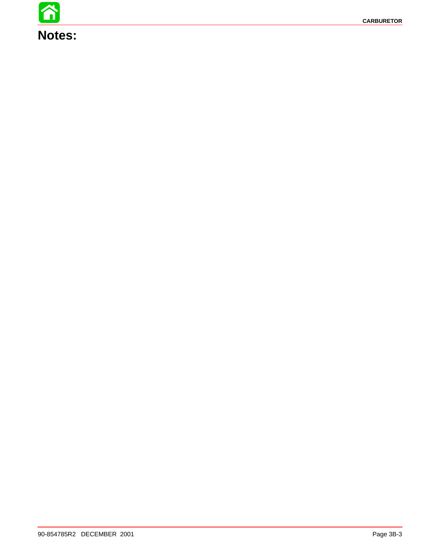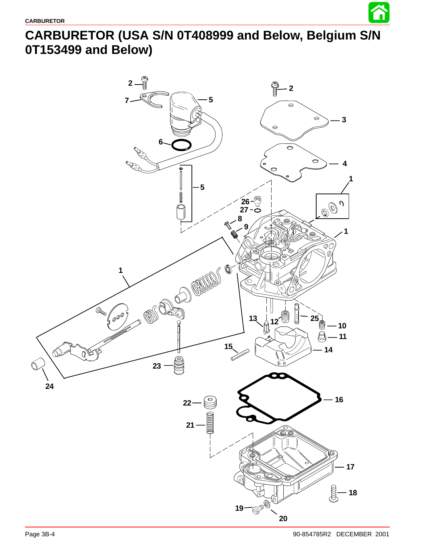

## <span id="page-3-0"></span>**CARBURETOR (USA S/N 0T408999 and Below, Belgium S/N 0T153499 and Below)**

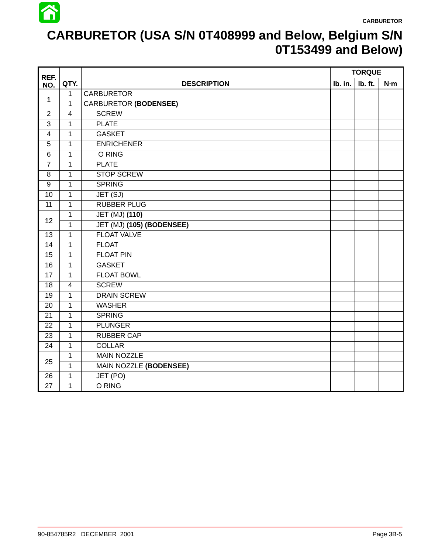

## **CARBURETOR (USA S/N 0T408999 and Below, Belgium S/N 0T153499 and Below)**

| REF.            |                |                              |         | <b>TORQUE</b> |       |
|-----------------|----------------|------------------------------|---------|---------------|-------|
| NO.             | QTY.           | <b>DESCRIPTION</b>           | Ib. in. | Ib. ft.       | $N-m$ |
|                 | $\mathbf{1}$   | <b>CARBURETOR</b>            |         |               |       |
| 1               | $\mathbf{1}$   | <b>CARBURETOR (BODENSEE)</b> |         |               |       |
| $\overline{2}$  | $\overline{4}$ | <b>SCREW</b>                 |         |               |       |
| 3               | $\mathbf{1}$   | <b>PLATE</b>                 |         |               |       |
| 4               | $\mathbf{1}$   | <b>GASKET</b>                |         |               |       |
| 5               | $\mathbf{1}$   | <b>ENRICHENER</b>            |         |               |       |
| $\,6$           | $\mathbf{1}$   | O RING                       |         |               |       |
| $\overline{7}$  | $\mathbf{1}$   | <b>PLATE</b>                 |         |               |       |
| 8               | $\mathbf{1}$   | <b>STOP SCREW</b>            |         |               |       |
| $\overline{9}$  | $\mathbf{1}$   | <b>SPRING</b>                |         |               |       |
| 10              | $\mathbf{1}$   | JET (SJ)                     |         |               |       |
| 11              | $\mathbf{1}$   | <b>RUBBER PLUG</b>           |         |               |       |
|                 | $\mathbf{1}$   | <b>JET (MJ) (110)</b>        |         |               |       |
| 12              | $\mathbf{1}$   | JET (MJ) (105) (BODENSEE)    |         |               |       |
| 13              | $\mathbf{1}$   | <b>FLOAT VALVE</b>           |         |               |       |
| $\overline{14}$ | $\mathbf{1}$   | <b>FLOAT</b>                 |         |               |       |
| 15              | $\mathbf{1}$   | <b>FLOAT PIN</b>             |         |               |       |
| 16              | $\mathbf{1}$   | <b>GASKET</b>                |         |               |       |
| 17              | $\mathbf{1}$   | <b>FLOAT BOWL</b>            |         |               |       |
| 18              | $\overline{4}$ | <b>SCREW</b>                 |         |               |       |
| 19              | $\mathbf{1}$   | <b>DRAIN SCREW</b>           |         |               |       |
| 20              | $\mathbf{1}$   | <b>WASHER</b>                |         |               |       |
| 21              | $\mathbf{1}$   | <b>SPRING</b>                |         |               |       |
| 22              | $\mathbf{1}$   | <b>PLUNGER</b>               |         |               |       |
| 23              | $\mathbf{1}$   | <b>RUBBER CAP</b>            |         |               |       |
| 24              | $\mathbf{1}$   | <b>COLLAR</b>                |         |               |       |
|                 | $\mathbf{1}$   | <b>MAIN NOZZLE</b>           |         |               |       |
| 25              | 1              | MAIN NOZZLE (BODENSEE)       |         |               |       |
| 26              | $\mathbf{1}$   | JET (PO)                     |         |               |       |
| 27              | 1              | O RING                       |         |               |       |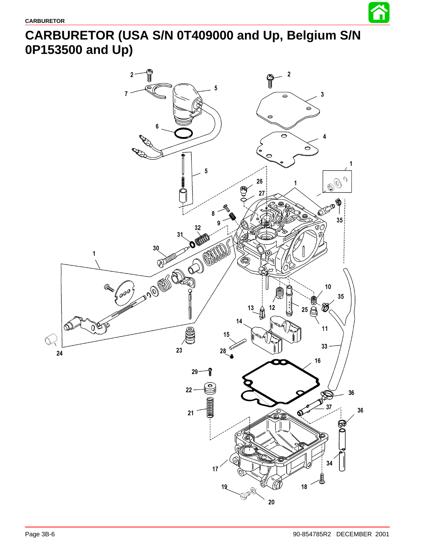

## **CARBURETOR (USA S/N 0T409000 and Up, Belgium S/N 0P153500 and Up)**

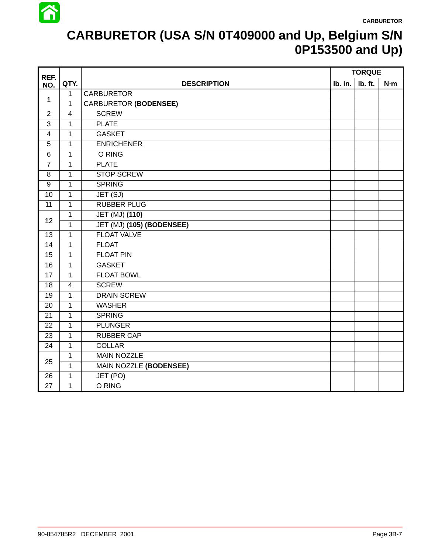

# **CARBURETOR (USA S/N 0T409000 and Up, Belgium S/N 0P153500 and Up)**

| REF.            |                         |                               |         | <b>TORQUE</b> |       |
|-----------------|-------------------------|-------------------------------|---------|---------------|-------|
| NO.             | QTY.                    | <b>DESCRIPTION</b>            | Ib. in. | Ib. ft.       | $N-m$ |
|                 | $\mathbf{1}$            | <b>CARBURETOR</b>             |         |               |       |
| 1               | $\mathbf{1}$            | <b>CARBURETOR (BODENSEE)</b>  |         |               |       |
| $\overline{2}$  | $\overline{4}$          | <b>SCREW</b>                  |         |               |       |
| 3               | 1                       | <b>PLATE</b>                  |         |               |       |
| 4               | $\mathbf{1}$            | <b>GASKET</b>                 |         |               |       |
| 5               | $\mathbf{1}$            | <b>ENRICHENER</b>             |         |               |       |
| $6\phantom{1}6$ | $\mathbf{1}$            | O RING                        |         |               |       |
| $\overline{7}$  | $\mathbf{1}$            | <b>PLATE</b>                  |         |               |       |
| 8               | $\mathbf{1}$            | <b>STOP SCREW</b>             |         |               |       |
| 9               | $\mathbf{1}$            | <b>SPRING</b>                 |         |               |       |
| 10              | $\mathbf{1}$            | JET(SJ)                       |         |               |       |
| $\overline{11}$ | $\mathbf 1$             | <b>RUBBER PLUG</b>            |         |               |       |
| 12              | $\mathbf{1}$            | JET (MJ) (110)                |         |               |       |
|                 | $\mathbf{1}$            | JET (MJ) (105) (BODENSEE)     |         |               |       |
| 13              | $\mathbf{1}$            | <b>FLOAT VALVE</b>            |         |               |       |
| 14              | $\mathbf{1}$            | <b>FLOAT</b>                  |         |               |       |
| 15              | $\mathbf{1}$            | <b>FLOAT PIN</b>              |         |               |       |
| 16              | $\mathbf{1}$            | <b>GASKET</b>                 |         |               |       |
| 17              | $\mathbf{1}$            | <b>FLOAT BOWL</b>             |         |               |       |
| 18              | $\overline{\mathbf{4}}$ | <b>SCREW</b>                  |         |               |       |
| 19              | $\mathbf{1}$            | <b>DRAIN SCREW</b>            |         |               |       |
| 20              | $\mathbf{1}$            | <b>WASHER</b>                 |         |               |       |
| 21              | $\mathbf{1}$            | <b>SPRING</b>                 |         |               |       |
| 22              | $\mathbf{1}$            | <b>PLUNGER</b>                |         |               |       |
| 23              | $\mathbf{1}$            | <b>RUBBER CAP</b>             |         |               |       |
| 24              | $\mathbf{1}$            | <b>COLLAR</b>                 |         |               |       |
| 25              | $\mathbf{1}$            | <b>MAIN NOZZLE</b>            |         |               |       |
|                 | $\mathbf{1}$            | <b>MAIN NOZZLE (BODENSEE)</b> |         |               |       |
| 26              | $\mathbf{1}$            | JET (PO)                      |         |               |       |
| 27              | $\mathbf{1}$            | O RING                        |         |               |       |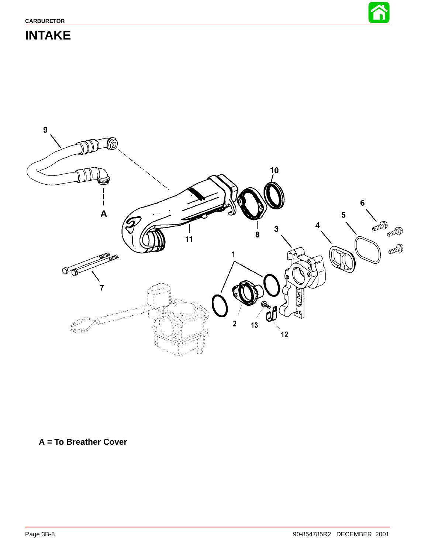

### **INTAKE**



#### **A = To Breather Cover**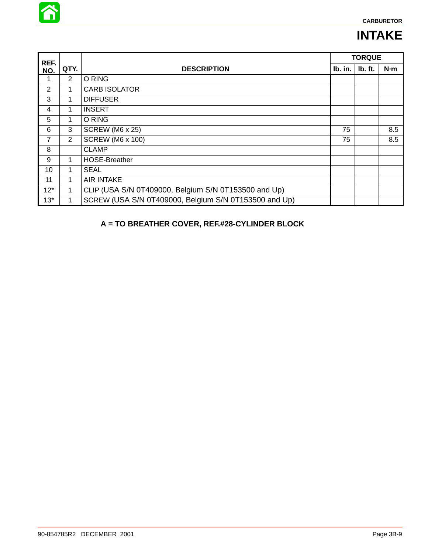

### **INTAKE**

| REF.           |                |                                                       |         | <b>TORQUE</b> |     |
|----------------|----------------|-------------------------------------------------------|---------|---------------|-----|
| NO.            | QTY.           | <b>DESCRIPTION</b>                                    | Ib. in. | lb. ft.       | N·m |
| 1              | $\overline{2}$ | O RING                                                |         |               |     |
| $\overline{2}$ | 1              | <b>CARB ISOLATOR</b>                                  |         |               |     |
| 3              | 1              | <b>DIFFUSER</b>                                       |         |               |     |
| 4              | 1              | <b>INSERT</b>                                         |         |               |     |
| 5              | 1              | O RING                                                |         |               |     |
| 6              | 3              | <b>SCREW (M6 x 25)</b>                                | 75      |               | 8.5 |
| 7              | 2              | <b>SCREW (M6 x 100)</b>                               | 75      |               | 8.5 |
| 8              |                | <b>CLAMP</b>                                          |         |               |     |
| 9              | 1              | <b>HOSE-Breather</b>                                  |         |               |     |
| 10             | 1              | <b>SEAL</b>                                           |         |               |     |
| 11             | 1              | <b>AIR INTAKE</b>                                     |         |               |     |
| $12*$          | 1              | CLIP (USA S/N 0T409000, Belgium S/N 0T153500 and Up)  |         |               |     |
| $13*$          |                | SCREW (USA S/N 0T409000, Belgium S/N 0T153500 and Up) |         |               |     |

#### **A = TO BREATHER COVER, REF.#28-CYLINDER BLOCK**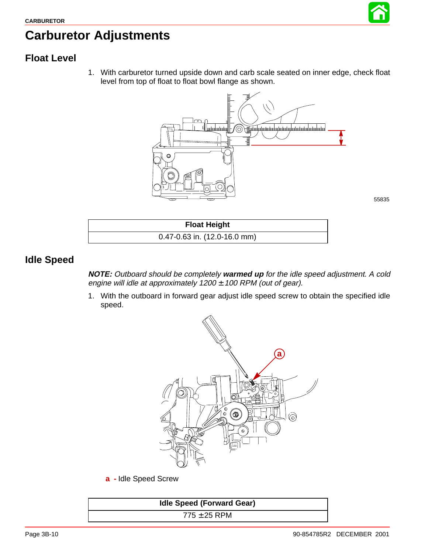

## **Carburetor Adjustments**

#### **Float Level**

1. With carburetor turned upside down and carb scale seated on inner edge, check float level from top of float to float bowl flange as shown.



55835

| <b>Float Height</b>                  |  |
|--------------------------------------|--|
| $0.47 - 0.63$ in. $(12.0 - 16.0$ mm) |  |

#### **Idle Speed**

**NOTE:** Outboard should be completely **warmed up** for the idle speed adjustment. A cold engine will idle at approximately  $1200 \pm 100$  RPM (out of gear).

1. With the outboard in forward gear adjust idle speed screw to obtain the specified idle speed.



**a -** Idle Speed Screw

| <b>Idle Speed (Forward Gear)</b> |  |
|----------------------------------|--|
| $775 \pm 25$ RPM                 |  |
|                                  |  |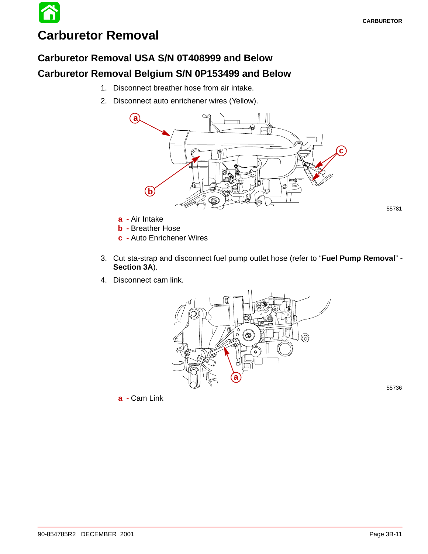## **Carburetor Removal**

#### **Carburetor Removal USA S/N 0T408999 and Below**

#### **Carburetor Removal Belgium S/N 0P153499 and Below**

- 1. Disconnect breather hose from air intake.
- 2. Disconnect auto enrichener wires (Yellow).



**a -** Air Intake

**b -** Breather Hose

**c -** Auto Enrichener Wires

- 3. Cut sta-strap and disconnect fuel pump outlet hose (refer to "**Fuel Pump Removal**" **- Section 3A**).
- 4. Disconnect cam link.



**a -** Cam Link

55736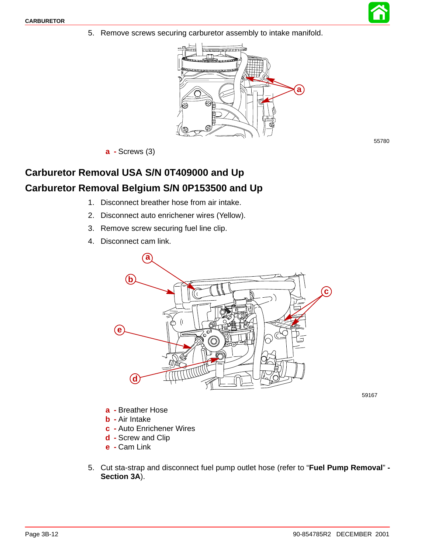5. Remove screws securing carburetor assembly to intake manifold.



**a -** Screws (3)

#### **Carburetor Removal USA S/N 0T409000 and Up Carburetor Removal Belgium S/N 0P153500 and Up**

- 1. Disconnect breather hose from air intake.
- 2. Disconnect auto enrichener wires (Yellow).
- 3. Remove screw securing fuel line clip.
- 4. Disconnect cam link.



59167

- **a -** Breather Hose
- **b -** Air Intake
- **c -** Auto Enrichener Wires
- **d -** Screw and Clip
- **e -** Cam Link
- 5. Cut sta-strap and disconnect fuel pump outlet hose (refer to "**Fuel Pump Removal**" **- Section 3A**).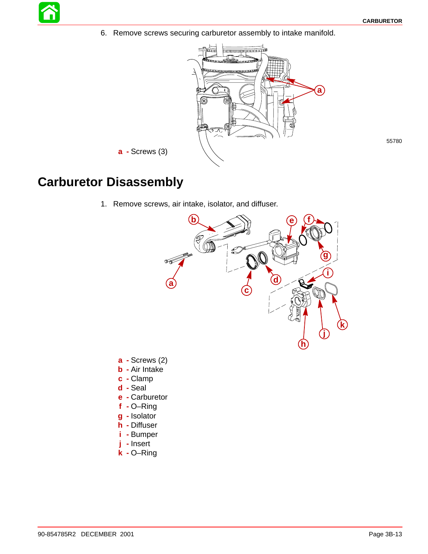6. Remove screws securing carburetor assembly to intake manifold.



55780

**a -** Screws (3)

#### **Carburetor Disassembly**

1. Remove screws, air intake, isolator, and diffuser.



- **a -** Screws (2)
- **b -** Air Intake
- **c -** Clamp
- **d -** Seal
- **e -** Carburetor
- **f -** O–Ring
- **g -** Isolator
- **h -** Diffuser
- **i -** Bumper
- **j -** Insert
- **k -** O–Ring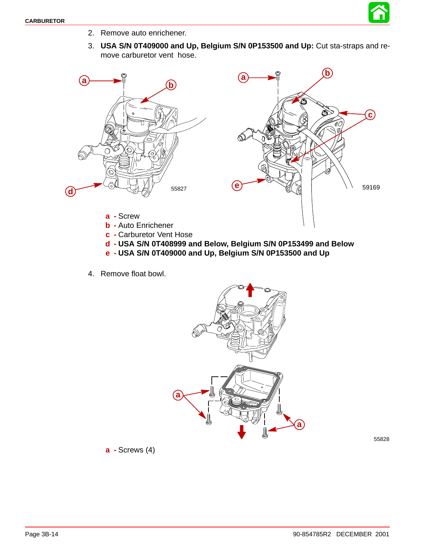

- 2. Remove auto enrichener.
- 3. **USA S/N 0T409000 and Up, Belgium S/N 0P153500 and Up:** Cut sta-straps and remove carburetor vent hose.





- **a -** Screw
- **b -** Auto Enrichener
- **c -** Carburetor Vent Hose
- **d - USA S/N 0T408999 and Below, Belgium S/N 0P153499 and Below**
- **e - USA S/N 0T409000 and Up, Belgium S/N 0P153500 and Up**
- 4. Remove float bowl.



55828

**a -** Screws (4)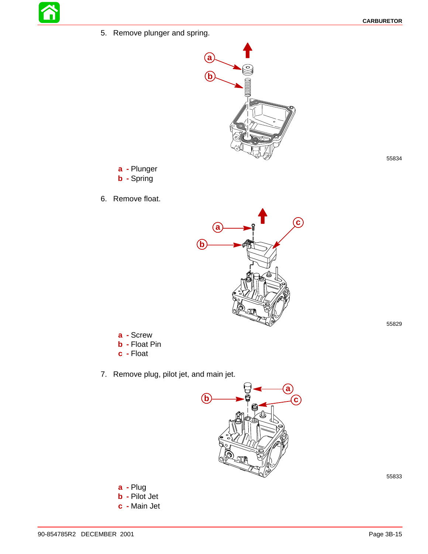5. Remove plunger and spring.



**a -** Plunger **b -** Spring

6. Remove float.



55829

55834

- **a -** Screw **b -** Float Pin
- **c -** Float
- 7. Remove plug, pilot jet, and main jet.



**a -** Plug **b -** Pilot Jet **c -** Main Jet

90-854785R2 DECEMBER 2001 Page 3B-15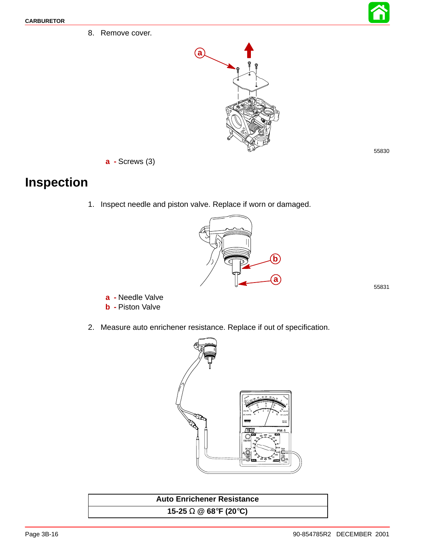8. Remove cover.



**a -** Screws (3)

### **Inspection**

1. Inspect needle and piston valve. Replace if worn or damaged.



55831

- **a -** Needle Valve
- **b -** Piston Valve
- 2. Measure auto enrichener resistance. Replace if out of specification.



| <b>Auto Enrichener Resistance</b> |  |
|-----------------------------------|--|
| 15-25 $\Omega$ @ 68°F (20°C)      |  |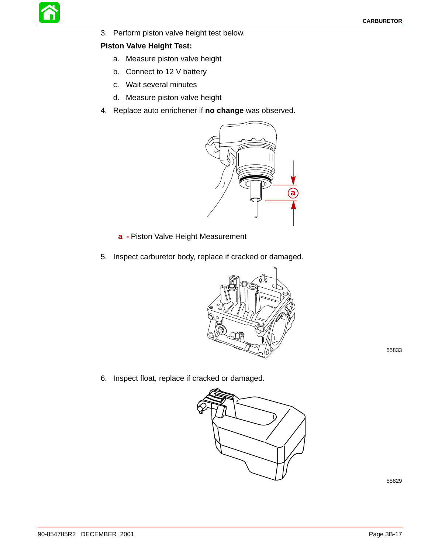

3. Perform piston valve height test below.

#### **Piston Valve Height Test:**

- a. Measure piston valve height
- b. Connect to 12 V battery
- c. Wait several minutes
- d. Measure piston valve height
- 4. Replace auto enrichener if **no change** was observed.



- **a -** Piston Valve Height Measurement
- 5. Inspect carburetor body, replace if cracked or damaged.



55833

6. Inspect float, replace if cracked or damaged.

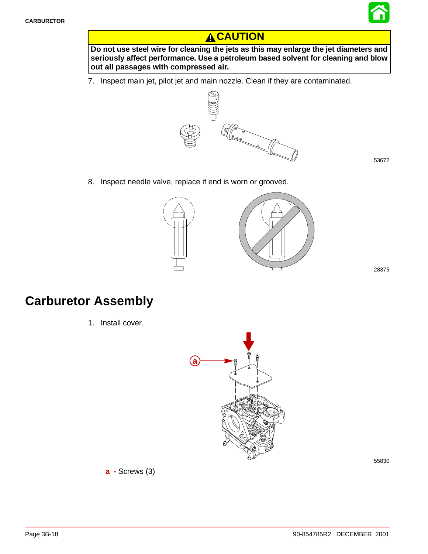

#### **A**CAUTION

**Do not use steel wire for cleaning the jets as this may enlarge the jet diameters and seriously affect performance. Use a petroleum based solvent for cleaning and blow out all passages with compressed air.**

7. Inspect main jet, pilot jet and main nozzle. Clean if they are contaminated.



53672

8. Inspect needle valve, replace if end is worn or grooved.



28375

### **Carburetor Assembly**

1. Install cover.

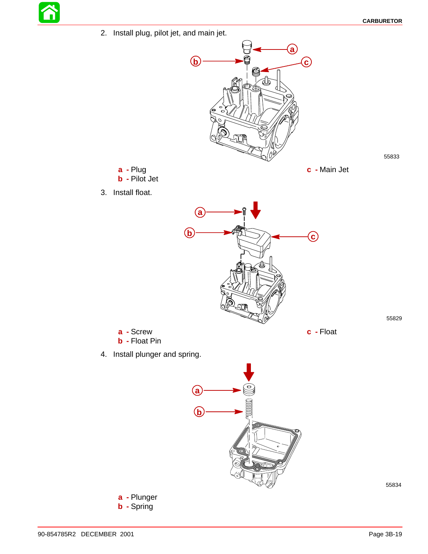55833

2. Install plug, pilot jet, and main jet.



**c -** Main Jet

- **a -** Plug **b -** Pilot Jet
- 3. Install float.



**a -** Screw **b -** Float Pin

4. Install plunger and spring.



55834

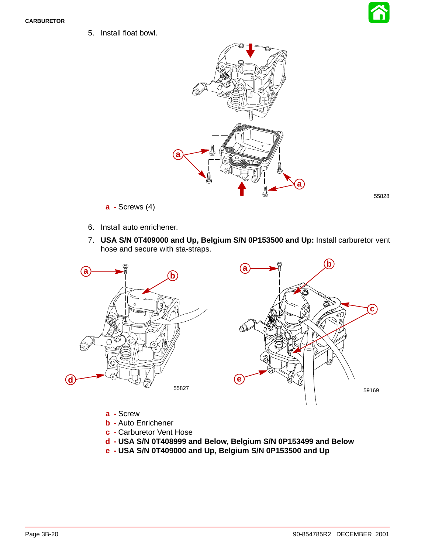5. Install float bowl.





- **a -** Screws (4)
- 6. Install auto enrichener.
- 7. **USA S/N 0T409000 and Up, Belgium S/N 0P153500 and Up:** Install carburetor vent hose and secure with sta-straps.





- **a -** Screw
- **b -** Auto Enrichener
- **c -** Carburetor Vent Hose
- **d - USA S/N 0T408999 and Below, Belgium S/N 0P153499 and Below**
- **e - USA S/N 0T409000 and Up, Belgium S/N 0P153500 and Up**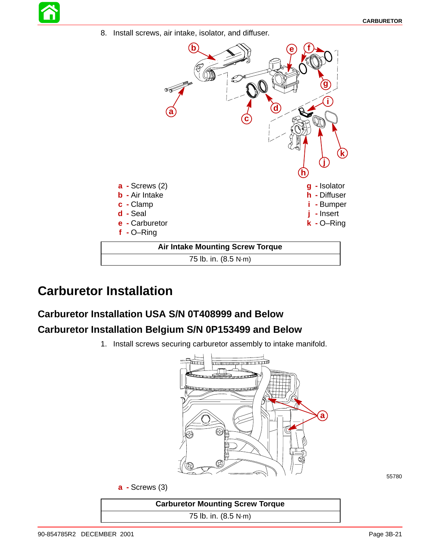8. Install screws, air intake, isolator, and diffuser.



### **Carburetor Installation**

# **Carburetor Installation USA S/N 0T408999 and Below**

#### **Carburetor Installation Belgium S/N 0P153499 and Below**

1. Install screws securing carburetor assembly to intake manifold.



| <b>Carburetor Mounting Screw Torque</b> |  |
|-----------------------------------------|--|
| 75 lb. in. (8.5 N·m)                    |  |
|                                         |  |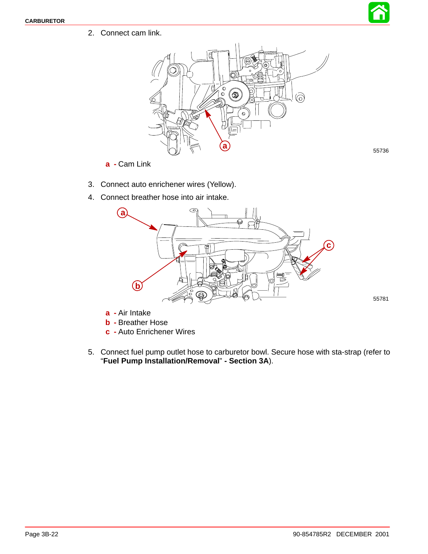

55781

2. Connect cam link.



- **a -** Cam Link
- 3. Connect auto enrichener wires (Yellow).
- 4. Connect breather hose into air intake.



**a -** Air Intake

- **b -** Breather Hose
- **c -** Auto Enrichener Wires
- 5. Connect fuel pump outlet hose to carburetor bowl. Secure hose with sta-strap (refer to "**Fuel Pump Installation/Removal**" **- Section 3A**).